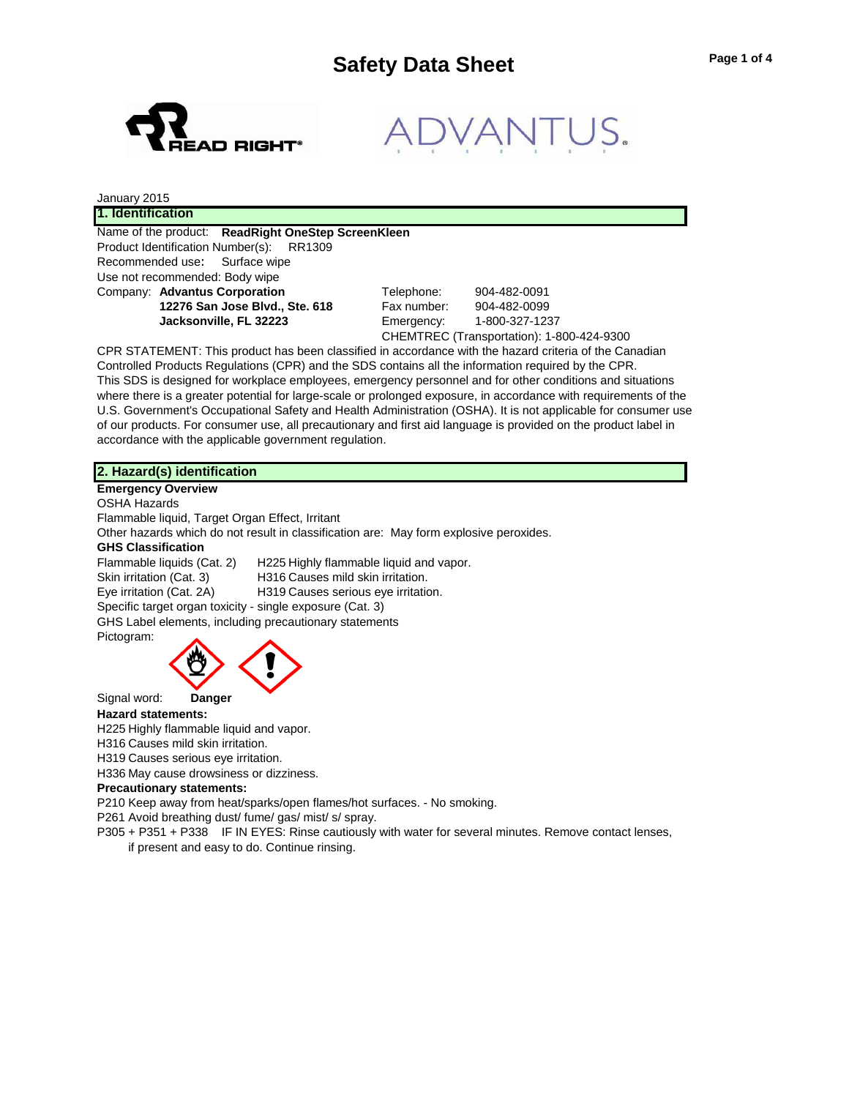

Company: **Advantus Corporation** Telephone: 904-482-0091 **12276 San Jose Blvd., Ste. 618** Fax number: 904-482-0099

**Jacksonville, FL 32223** Emergency: 1-800-327-1237 CHEMTREC (Transportation): 1-800-424-9300

CPR STATEMENT: This product has been classified in accordance with the hazard criteria of the Canadian Controlled Products Regulations (CPR) and the SDS contains all the information required by the CPR. This SDS is designed for workplace employees, emergency personnel and for other conditions and situations where there is a greater potential for large-scale or prolonged exposure, in accordance with requirements of the U.S. Government's Occupational Safety and Health Administration (OSHA). It is not applicable for consumer use of our products. For consumer use, all precautionary and first aid language is provided on the product label in accordance with the applicable government regulation.

# **2. Hazard(s) identification**

**Emergency Overview** OSHA Hazards

Flammable liquid, Target Organ Effect, Irritant Other hazards which do not result in classification are: May form explosive peroxides.

# **GHS Classification**

Flammable liquids (Cat. 2) H225 Highly flammable liquid and vapor. Skin irritation (Cat. 3) H316 Causes mild skin irritation. Eye irritation (Cat. 2A) H319 Causes serious eye irritation. Specific target organ toxicity - single exposure (Cat. 3) GHS Label elements, including precautionary statements Pictogram:



Signal word: **Danger**

### **Hazard statements:**

H225 Highly flammable liquid and vapor.

H316 Causes mild skin irritation.

H319 Causes serious eye irritation.

H336 May cause drowsiness or dizziness.

### **Precautionary statements:**

P210 Keep away from heat/sparks/open flames/hot surfaces. - No smoking.

P261 Avoid breathing dust/ fume/ gas/ mist/ s/ spray.

P305 + P351 + P338 IF IN EYES: Rinse cautiously with water for several minutes. Remove contact lenses, if present and easy to do. Continue rinsing.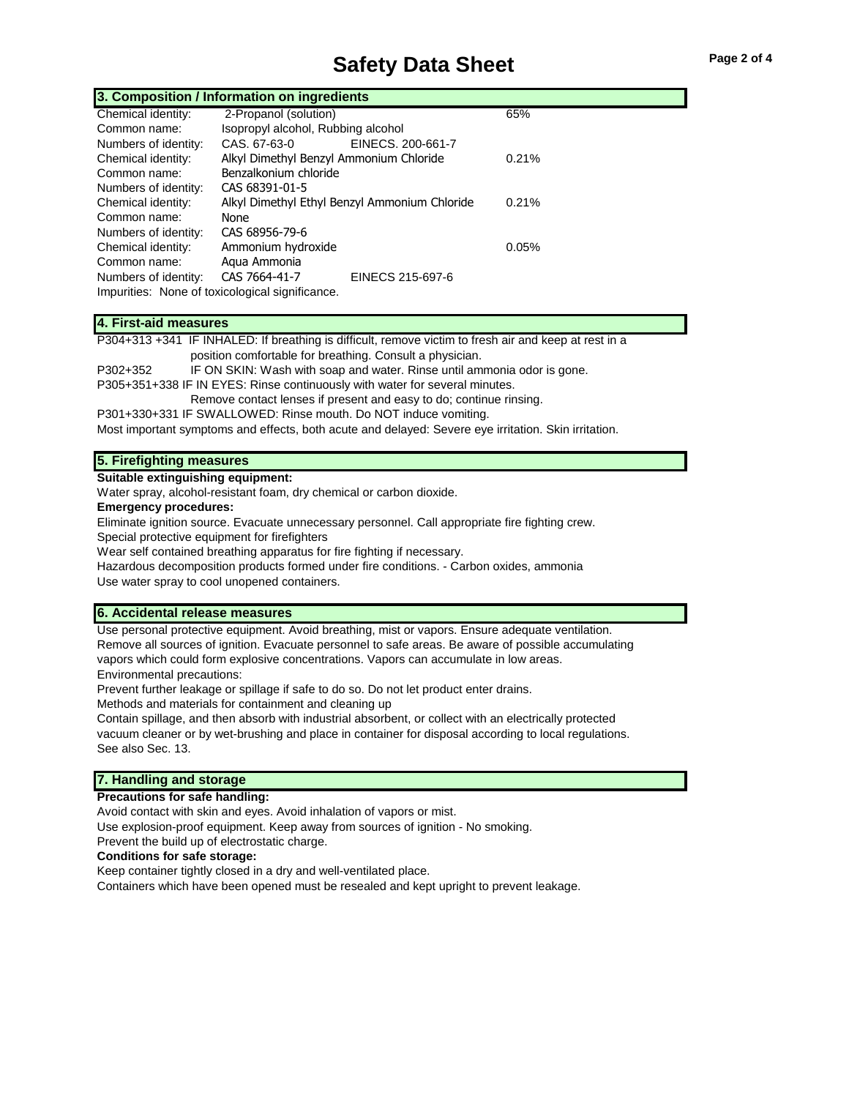# **Safety Data Sheet**

| Page 2 of 4 |  |  |
|-------------|--|--|
|             |  |  |

| 3. Composition / Information on ingredients |                                                 |                   |       |  |
|---------------------------------------------|-------------------------------------------------|-------------------|-------|--|
| Chemical identity:                          | 2-Propanol (solution)                           |                   | 65%   |  |
| Common name:                                | Isopropyl alcohol, Rubbing alcohol              |                   |       |  |
| Numbers of identity:                        | CAS, 67-63-0                                    | EINECS, 200-661-7 |       |  |
| Chemical identity:                          | Alkyl Dimethyl Benzyl Ammonium Chloride         |                   | 0.21% |  |
| Common name:                                | Benzalkonium chloride                           |                   |       |  |
| Numbers of identity:                        | CAS 68391-01-5                                  |                   |       |  |
| Chemical identity:                          | Alkyl Dimethyl Ethyl Benzyl Ammonium Chloride   |                   | 0.21% |  |
| Common name:                                | None                                            |                   |       |  |
| Numbers of identity:                        | CAS 68956-79-6                                  |                   |       |  |
| Chemical identity:                          | Ammonium hydroxide                              |                   | 0.05% |  |
| Common name:                                | Agua Ammonia                                    |                   |       |  |
| Numbers of identity:                        | CAS 7664-41-7                                   | EINECS 215-697-6  |       |  |
|                                             | Impurities: None of toxicological significance. |                   |       |  |

# **4. First-aid measures**

P304+313 +341 IF INHALED: If breathing is difficult, remove victim to fresh air and keep at rest in a

position comfortable for breathing. Consult a physician.

P302+352 IF ON SKIN: Wash with soap and water. Rinse until ammonia odor is gone.

P305+351+338 IF IN EYES: Rinse continuously with water for several minutes.

Remove contact lenses if present and easy to do; continue rinsing.

P301+330+331 IF SWALLOWED: Rinse mouth. Do NOT induce vomiting.

Most important symptoms and effects, both acute and delayed: Severe eye irritation. Skin irritation.

# **5. Firefighting measures**

**Suitable extinguishing equipment:**

Water spray, alcohol-resistant foam, dry chemical or carbon dioxide.

#### **Emergency procedures:**

Eliminate ignition source. Evacuate unnecessary personnel. Call appropriate fire fighting crew.

Special protective equipment for firefighters

Wear self contained breathing apparatus for fire fighting if necessary.

Hazardous decomposition products formed under fire conditions. - Carbon oxides, ammonia

Use water spray to cool unopened containers.

# **6. Accidental release measures**

Use personal protective equipment. Avoid breathing, mist or vapors. Ensure adequate ventilation. Remove all sources of ignition. Evacuate personnel to safe areas. Be aware of possible accumulating vapors which could form explosive concentrations. Vapors can accumulate in low areas. Environmental precautions:

Prevent further leakage or spillage if safe to do so. Do not let product enter drains.

Methods and materials for containment and cleaning up

Contain spillage, and then absorb with industrial absorbent, or collect with an electrically protected vacuum cleaner or by wet-brushing and place in container for disposal according to local regulations. See also Sec. 13.

# **7. Handling and storage**

### **Precautions for safe handling:**

Avoid contact with skin and eyes. Avoid inhalation of vapors or mist.

Use explosion-proof equipment. Keep away from sources of ignition - No smoking.

Prevent the build up of electrostatic charge.

# **Conditions for safe storage:**

Keep container tightly closed in a dry and well-ventilated place. Containers which have been opened must be resealed and kept upright to prevent leakage.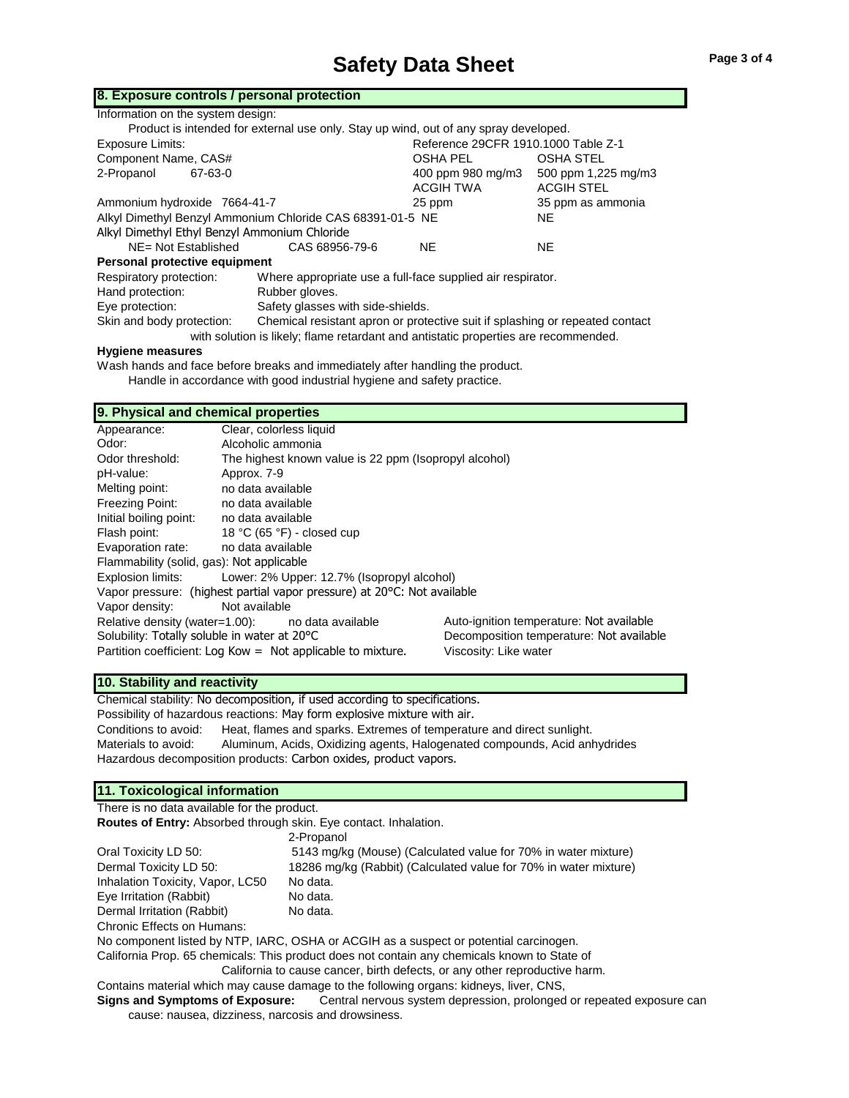# **Safety Data Sheet** Page 3 of 4

| 8. Exposure controls / personal protection                                            |                                                                              |                                     |                     |  |
|---------------------------------------------------------------------------------------|------------------------------------------------------------------------------|-------------------------------------|---------------------|--|
| Information on the system design:                                                     |                                                                              |                                     |                     |  |
| Product is intended for external use only. Stay up wind, out of any spray developed.  |                                                                              |                                     |                     |  |
| <b>Exposure Limits:</b>                                                               |                                                                              | Reference 29CFR 1910.1000 Table Z-1 |                     |  |
| Component Name, CAS#                                                                  |                                                                              | OSHA PEL                            | <b>OSHA STEL</b>    |  |
| 2-Propanol<br>67-63-0                                                                 |                                                                              | 400 ppm 980 mg/m3                   | 500 ppm 1,225 mg/m3 |  |
|                                                                                       |                                                                              | <b>ACGIH TWA</b>                    | <b>ACGIH STEL</b>   |  |
| Ammonium hydroxide 7664-41-7                                                          |                                                                              | 25 ppm                              | 35 ppm as ammonia   |  |
| Alkyl Dimethyl Benzyl Ammonium Chloride CAS 68391-01-5 NE                             |                                                                              |                                     | <b>NE</b>           |  |
| Alkyl Dimethyl Ethyl Benzyl Ammonium Chloride                                         |                                                                              |                                     |                     |  |
| NE= Not Established                                                                   | CAS 68956-79-6                                                               | NE.                                 | <b>NE</b>           |  |
| Personal protective equipment                                                         |                                                                              |                                     |                     |  |
| Respiratory protection:<br>Where appropriate use a full-face supplied air respirator. |                                                                              |                                     |                     |  |
| Hand protection:                                                                      | Rubber gloves.                                                               |                                     |                     |  |
| Eye protection:                                                                       | Safety glasses with side-shields.                                            |                                     |                     |  |
| Skin and body protection:                                                             | Chemical resistant apron or protective suit if splashing or repeated contact |                                     |                     |  |

with solution is likely; flame retardant and antistatic properties are recommended.

### **Hygiene measures**

Wash hands and face before breaks and immediately after handling the product. Handle in accordance with good industrial hygiene and safety practice.

# **9. Physical and chemical properties**

| Appearance:                                                                                  | Clear, colorless liquid                                           |                       |  |  |
|----------------------------------------------------------------------------------------------|-------------------------------------------------------------------|-----------------------|--|--|
| Odor:                                                                                        | Alcoholic ammonia                                                 |                       |  |  |
| Odor threshold:                                                                              | The highest known value is 22 ppm (Isopropyl alcohol)             |                       |  |  |
| pH-value:                                                                                    | Approx. 7-9                                                       |                       |  |  |
| Melting point:                                                                               | no data available                                                 |                       |  |  |
| Freezing Point:                                                                              | no data available                                                 |                       |  |  |
| Initial boiling point:                                                                       | no data available                                                 |                       |  |  |
| Flash point:                                                                                 | 18 °C (65 °F) - closed cup                                        |                       |  |  |
| Evaporation rate:                                                                            | no data available                                                 |                       |  |  |
| Flammability (solid, gas): Not applicable                                                    |                                                                   |                       |  |  |
| Explosion limits:<br>Lower: 2% Upper: 12.7% (Isopropyl alcohol)                              |                                                                   |                       |  |  |
| Vapor pressure: (highest partial vapor pressure) at 20°C: Not available                      |                                                                   |                       |  |  |
| Vapor density:<br>Not available                                                              |                                                                   |                       |  |  |
| Auto-ignition temperature: Not available<br>Relative density (water=1.00): no data available |                                                                   |                       |  |  |
| Solubility: Totally soluble in water at 20°C<br>Decomposition temperature: Not available     |                                                                   |                       |  |  |
|                                                                                              | Partition coefficient: Log Kow = $\pi$ Not applicable to mixture. | Viscosity: Like water |  |  |

### **10. Stability and reactivity**

Chemical stability: No decomposition, if used according to specifications. Possibility of hazardous reactions: May form explosive mixture with air. Conditions to avoid: Heat, flames and sparks. Extremes of temperature and direct sunlight. Materials to avoid: Aluminum, Acids, Oxidizing agents, Halogenated compounds, Acid anhydrides Hazardous decomposition products: Carbon oxides, product vapors.

# **11. Toxicological information**

There is no data available for the product. **Routes of Entry:** Absorbed through skin. Eye contact. Inhalation.

|                                  | 2-Propanol                                                       |
|----------------------------------|------------------------------------------------------------------|
| Oral Toxicity LD 50:             | 5143 mg/kg (Mouse) (Calculated value for 70% in water mixture)   |
| Dermal Toxicity LD 50:           | 18286 mg/kg (Rabbit) (Calculated value for 70% in water mixture) |
| Inhalation Toxicity, Vapor, LC50 | No data.                                                         |
| Eye Irritation (Rabbit)          | No data.                                                         |
| Dermal Irritation (Rabbit)       | No data.                                                         |
| Chronic Effects on Humans:       |                                                                  |
|                                  |                                                                  |

No component listed by NTP, IARC, OSHA or ACGIH as a suspect or potential carcinogen.

California Prop. 65 chemicals: This product does not contain any chemicals known to State of

California to cause cancer, birth defects, or any other reproductive harm.

Contains material which may cause damage to the following organs: kidneys, liver, CNS,

**Signs and Symptoms of Exposure:** Central nervous system depression, prolonged or repeated exposure can cause: nausea, dizziness, narcosis and drowsiness.